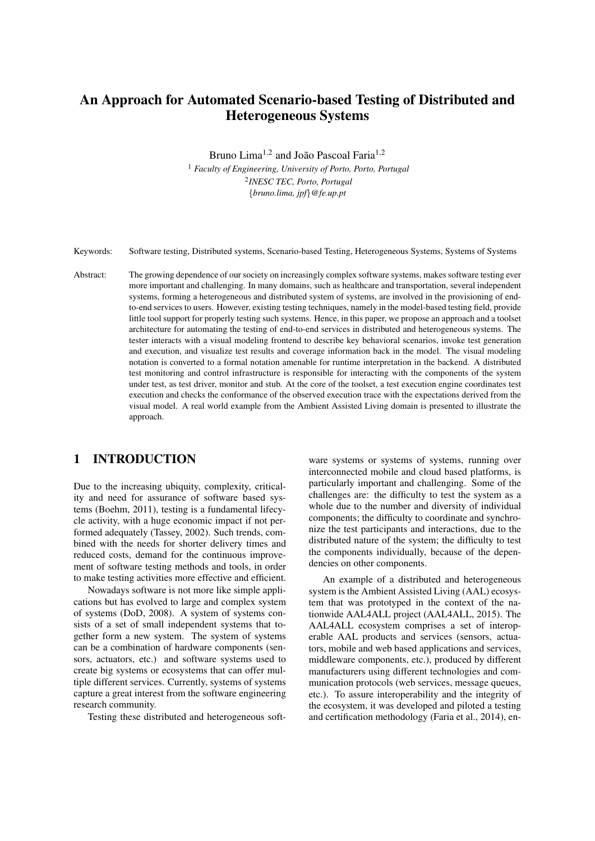# An Approach for Automated Scenario-based Testing of Distributed and Heterogeneous Systems

Bruno Lima<sup>1,2</sup> and João Pascoal Faria<sup>1,2</sup>

<sup>1</sup> *Faculty of Engineering, University of Porto, Porto, Portugal* <sup>2</sup>*INESC TEC, Porto, Portugal {bruno.lima, jpf}@fe.up.pt*

Keywords: Software testing, Distributed systems, Scenario-based Testing, Heterogeneous Systems, Systems of Systems

Abstract: The growing dependence of our society on increasingly complex software systems, makes software testing ever more important and challenging. In many domains, such as healthcare and transportation, several independent systems, forming a heterogeneous and distributed system of systems, are involved in the provisioning of endto-end services to users. However, existing testing techniques, namely in the model-based testing field, provide little tool support for properly testing such systems. Hence, in this paper, we propose an approach and a toolset architecture for automating the testing of end-to-end services in distributed and heterogeneous systems. The tester interacts with a visual modeling frontend to describe key behavioral scenarios, invoke test generation and execution, and visualize test results and coverage information back in the model. The visual modeling notation is converted to a formal notation amenable for runtime interpretation in the backend. A distributed test monitoring and control infrastructure is responsible for interacting with the components of the system under test, as test driver, monitor and stub. At the core of the toolset, a test execution engine coordinates test execution and checks the conformance of the observed execution trace with the expectations derived from the visual model. A real world example from the Ambient Assisted Living domain is presented to illustrate the approach.

# 1 INTRODUCTION

Due to the increasing ubiquity, complexity, criticality and need for assurance of software based systems (Boehm, 2011), testing is a fundamental lifecycle activity, with a huge economic impact if not performed adequately (Tassey, 2002). Such trends, combined with the needs for shorter delivery times and reduced costs, demand for the continuous improvement of software testing methods and tools, in order to make testing activities more effective and efficient.

Nowadays software is not more like simple applications but has evolved to large and complex system of systems (DoD, 2008). A system of systems consists of a set of small independent systems that together form a new system. The system of systems can be a combination of hardware components (sensors, actuators, etc.) and software systems used to create big systems or ecosystems that can offer multiple different services. Currently, systems of systems capture a great interest from the software engineering research community.

Testing these distributed and heterogeneous soft-

ware systems or systems of systems, running over interconnected mobile and cloud based platforms, is particularly important and challenging. Some of the challenges are: the difficulty to test the system as a whole due to the number and diversity of individual components; the difficulty to coordinate and synchronize the test participants and interactions, due to the distributed nature of the system; the difficulty to test the components individually, because of the dependencies on other components.

An example of a distributed and heterogeneous system is the Ambient Assisted Living (AAL) ecosystem that was prototyped in the context of the nationwide AAL4ALL project (AAL4ALL, 2015). The AAL4ALL ecosystem comprises a set of interoperable AAL products and services (sensors, actuators, mobile and web based applications and services, middleware components, etc.), produced by different manufacturers using different technologies and communication protocols (web services, message queues, etc.). To assure interoperability and the integrity of the ecosystem, it was developed and piloted a testing and certification methodology (Faria et al., 2014), en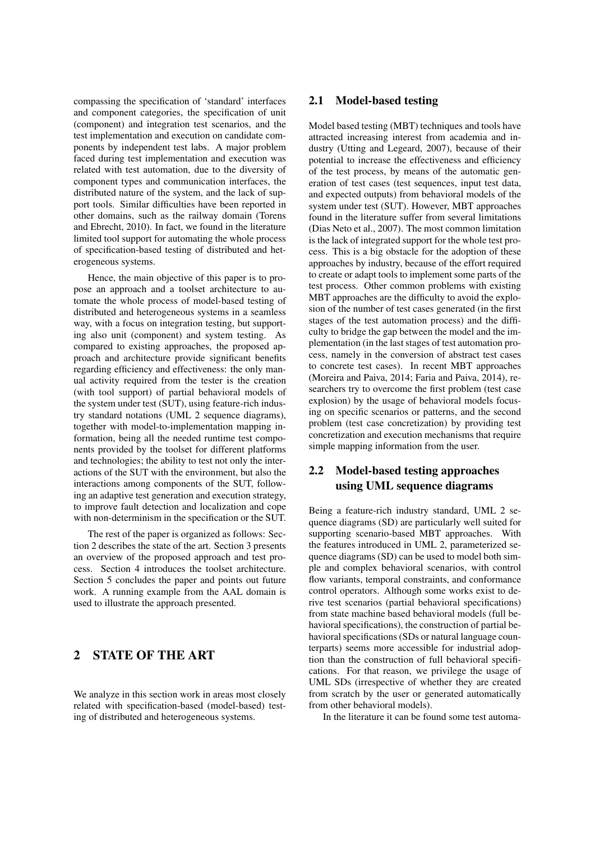compassing the specification of 'standard' interfaces and component categories, the specification of unit (component) and integration test scenarios, and the test implementation and execution on candidate components by independent test labs. A major problem faced during test implementation and execution was related with test automation, due to the diversity of component types and communication interfaces, the distributed nature of the system, and the lack of support tools. Similar difficulties have been reported in other domains, such as the railway domain (Torens and Ebrecht, 2010). In fact, we found in the literature limited tool support for automating the whole process of specification-based testing of distributed and heterogeneous systems.

Hence, the main objective of this paper is to propose an approach and a toolset architecture to automate the whole process of model-based testing of distributed and heterogeneous systems in a seamless way, with a focus on integration testing, but supporting also unit (component) and system testing. As compared to existing approaches, the proposed approach and architecture provide significant benefits regarding efficiency and effectiveness: the only manual activity required from the tester is the creation (with tool support) of partial behavioral models of the system under test (SUT), using feature-rich industry standard notations (UML 2 sequence diagrams), together with model-to-implementation mapping information, being all the needed runtime test components provided by the toolset for different platforms and technologies; the ability to test not only the interactions of the SUT with the environment, but also the interactions among components of the SUT, following an adaptive test generation and execution strategy, to improve fault detection and localization and cope with non-determinism in the specification or the SUT.

The rest of the paper is organized as follows: Section 2 describes the state of the art. Section 3 presents an overview of the proposed approach and test process. Section 4 introduces the toolset architecture. Section 5 concludes the paper and points out future work. A running example from the AAL domain is used to illustrate the approach presented.

# 2 STATE OF THE ART

We analyze in this section work in areas most closely related with specification-based (model-based) testing of distributed and heterogeneous systems.

### 2.1 Model-based testing

Model based testing (MBT) techniques and tools have attracted increasing interest from academia and industry (Utting and Legeard, 2007), because of their potential to increase the effectiveness and efficiency of the test process, by means of the automatic generation of test cases (test sequences, input test data, and expected outputs) from behavioral models of the system under test (SUT). However, MBT approaches found in the literature suffer from several limitations (Dias Neto et al., 2007). The most common limitation is the lack of integrated support for the whole test process. This is a big obstacle for the adoption of these approaches by industry, because of the effort required to create or adapt tools to implement some parts of the test process. Other common problems with existing MBT approaches are the difficulty to avoid the explosion of the number of test cases generated (in the first stages of the test automation process) and the difficulty to bridge the gap between the model and the implementation (in the last stages of test automation process, namely in the conversion of abstract test cases to concrete test cases). In recent MBT approaches (Moreira and Paiva, 2014; Faria and Paiva, 2014), researchers try to overcome the first problem (test case explosion) by the usage of behavioral models focusing on specific scenarios or patterns, and the second problem (test case concretization) by providing test concretization and execution mechanisms that require simple mapping information from the user.

# 2.2 Model-based testing approaches using UML sequence diagrams

Being a feature-rich industry standard, UML 2 sequence diagrams (SD) are particularly well suited for supporting scenario-based MBT approaches. With the features introduced in UML 2, parameterized sequence diagrams (SD) can be used to model both simple and complex behavioral scenarios, with control flow variants, temporal constraints, and conformance control operators. Although some works exist to derive test scenarios (partial behavioral specifications) from state machine based behavioral models (full behavioral specifications), the construction of partial behavioral specifications (SDs or natural language counterparts) seems more accessible for industrial adoption than the construction of full behavioral specifications. For that reason, we privilege the usage of UML SDs (irrespective of whether they are created from scratch by the user or generated automatically from other behavioral models).

In the literature it can be found some test automa-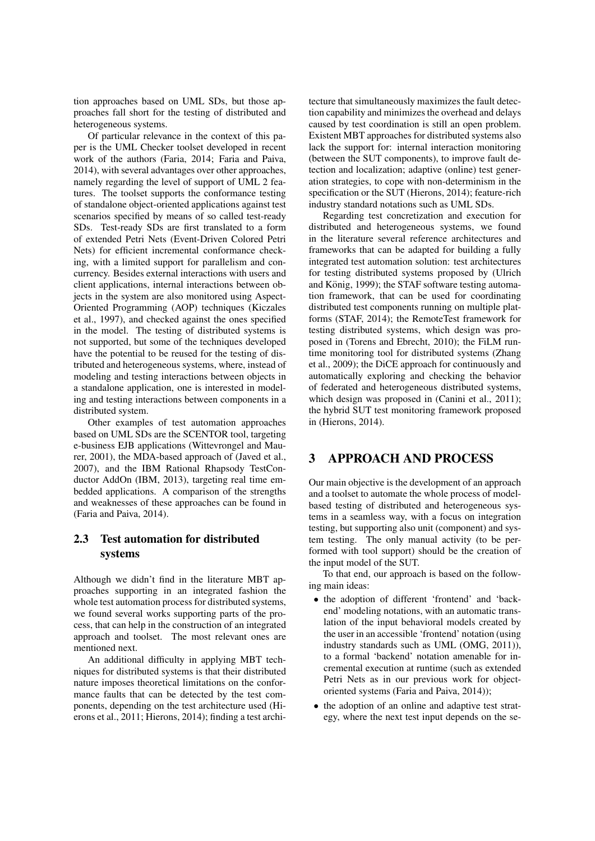tion approaches based on UML SDs, but those approaches fall short for the testing of distributed and heterogeneous systems.

Of particular relevance in the context of this paper is the UML Checker toolset developed in recent work of the authors (Faria, 2014; Faria and Paiva, 2014), with several advantages over other approaches, namely regarding the level of support of UML 2 features. The toolset supports the conformance testing of standalone object-oriented applications against test scenarios specified by means of so called test-ready SDs. Test-ready SDs are first translated to a form of extended Petri Nets (Event-Driven Colored Petri Nets) for efficient incremental conformance checking, with a limited support for parallelism and concurrency. Besides external interactions with users and client applications, internal interactions between objects in the system are also monitored using Aspect-Oriented Programming (AOP) techniques (Kiczales et al., 1997), and checked against the ones specified in the model. The testing of distributed systems is not supported, but some of the techniques developed have the potential to be reused for the testing of distributed and heterogeneous systems, where, instead of modeling and testing interactions between objects in a standalone application, one is interested in modeling and testing interactions between components in a distributed system.

Other examples of test automation approaches based on UML SDs are the SCENTOR tool, targeting e-business EJB applications (Wittevrongel and Maurer, 2001), the MDA-based approach of (Javed et al., 2007), and the IBM Rational Rhapsody TestConductor AddOn (IBM, 2013), targeting real time embedded applications. A comparison of the strengths and weaknesses of these approaches can be found in (Faria and Paiva, 2014).

# 2.3 Test automation for distributed systems

Although we didn't find in the literature MBT approaches supporting in an integrated fashion the whole test automation process for distributed systems, we found several works supporting parts of the process, that can help in the construction of an integrated approach and toolset. The most relevant ones are mentioned next.

An additional difficulty in applying MBT techniques for distributed systems is that their distributed nature imposes theoretical limitations on the conformance faults that can be detected by the test components, depending on the test architecture used (Hierons et al., 2011; Hierons, 2014); finding a test architecture that simultaneously maximizes the fault detection capability and minimizes the overhead and delays caused by test coordination is still an open problem. Existent MBT approaches for distributed systems also lack the support for: internal interaction monitoring (between the SUT components), to improve fault detection and localization; adaptive (online) test generation strategies, to cope with non-determinism in the specification or the SUT (Hierons, 2014); feature-rich industry standard notations such as UML SDs.

Regarding test concretization and execution for distributed and heterogeneous systems, we found in the literature several reference architectures and frameworks that can be adapted for building a fully integrated test automation solution: test architectures for testing distributed systems proposed by (Ulrich and König, 1999); the STAF software testing automation framework, that can be used for coordinating distributed test components running on multiple platforms (STAF, 2014); the RemoteTest framework for testing distributed systems, which design was proposed in (Torens and Ebrecht, 2010); the FiLM runtime monitoring tool for distributed systems (Zhang et al., 2009); the DiCE approach for continuously and automatically exploring and checking the behavior of federated and heterogeneous distributed systems, which design was proposed in (Canini et al., 2011); the hybrid SUT test monitoring framework proposed in (Hierons, 2014).

# 3 APPROACH AND PROCESS

Our main objective is the development of an approach and a toolset to automate the whole process of modelbased testing of distributed and heterogeneous systems in a seamless way, with a focus on integration testing, but supporting also unit (component) and system testing. The only manual activity (to be performed with tool support) should be the creation of the input model of the SUT.

To that end, our approach is based on the following main ideas:

- *•* the adoption of different 'frontend' and 'backend' modeling notations, with an automatic translation of the input behavioral models created by the user in an accessible 'frontend' notation (using industry standards such as UML (OMG, 2011)), to a formal 'backend' notation amenable for incremental execution at runtime (such as extended Petri Nets as in our previous work for objectoriented systems (Faria and Paiva, 2014));
- the adoption of an online and adaptive test strategy, where the next test input depends on the se-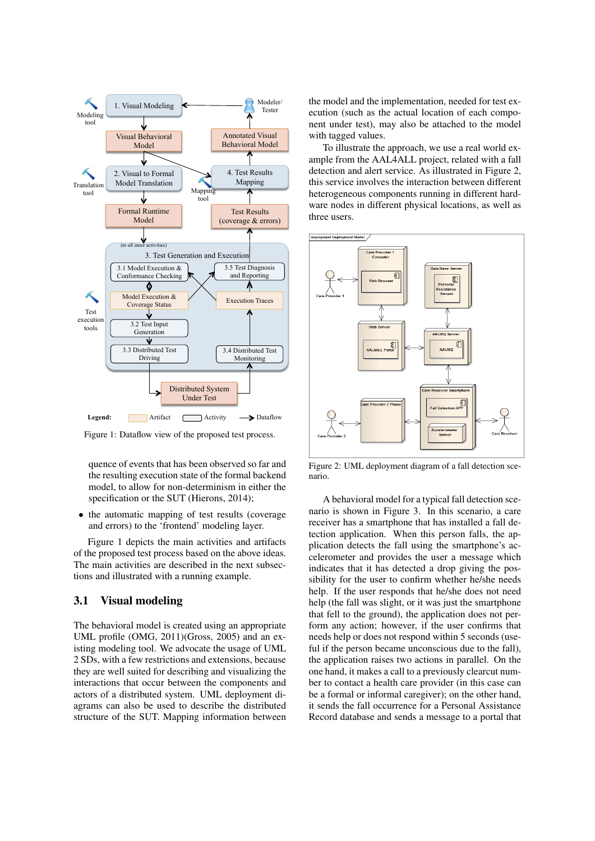

Figure 1: Dataflow view of the proposed test process.

quence of events that has been observed so far and the resulting execution state of the formal backend model, to allow for non-determinism in either the specification or the SUT (Hierons, 2014);

• the automatic mapping of test results (coverage and errors) to the 'frontend' modeling layer.

Figure 1 depicts the main activities and artifacts of the proposed test process based on the above ideas. The main activities are described in the next subsections and illustrated with a running example.

### 3.1 Visual modeling

The behavioral model is created using an appropriate UML profile (OMG, 2011)(Gross, 2005) and an existing modeling tool. We advocate the usage of UML 2 SDs, with a few restrictions and extensions, because they are well suited for describing and visualizing the interactions that occur between the components and actors of a distributed system. UML deployment diagrams can also be used to describe the distributed structure of the SUT. Mapping information between

the model and the implementation, needed for test execution (such as the actual location of each component under test), may also be attached to the model with tagged values.

To illustrate the approach, we use a real world example from the AAL4ALL project, related with a fall detection and alert service. As illustrated in Figure 2, this service involves the interaction between different heterogeneous components running in different hardware nodes in different physical locations, as well as three users.



Figure 2: UML deployment diagram of a fall detection scenario.

A behavioral model for a typical fall detection scenario is shown in Figure 3. In this scenario, a care receiver has a smartphone that has installed a fall detection application. When this person falls, the application detects the fall using the smartphone's accelerometer and provides the user a message which indicates that it has detected a drop giving the possibility for the user to confirm whether he/she needs help. If the user responds that he/she does not need help (the fall was slight, or it was just the smartphone that fell to the ground), the application does not perform any action; however, if the user confirms that needs help or does not respond within 5 seconds (useful if the person became unconscious due to the fall), the application raises two actions in parallel. On the one hand, it makes a call to a previously clearcut number to contact a health care provider (in this case can be a formal or informal caregiver); on the other hand, it sends the fall occurrence for a Personal Assistance Record database and sends a message to a portal that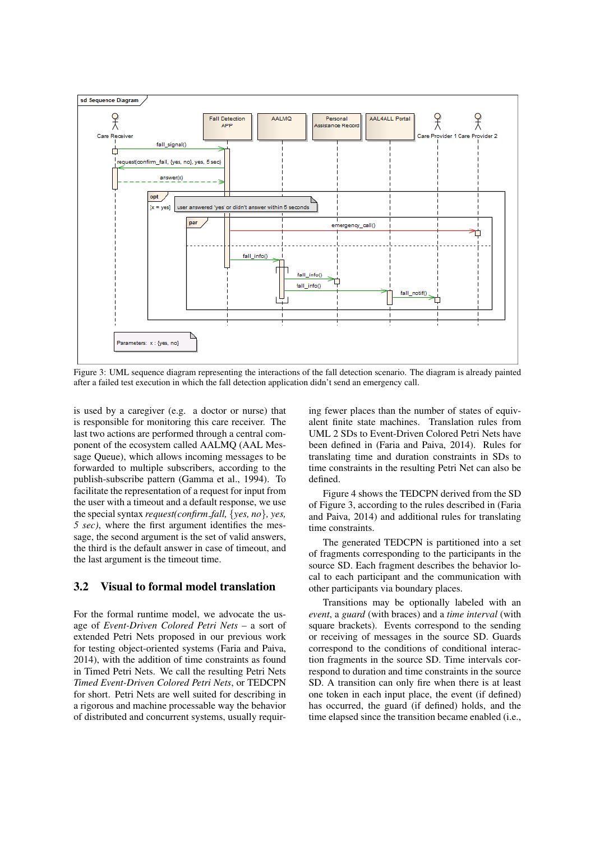

Figure 3: UML sequence diagram representing the interactions of the fall detection scenario. The diagram is already painted after a failed test execution in which the fall detection application didn't send an emergency call.

is used by a caregiver (e.g. a doctor or nurse) that is responsible for monitoring this care receiver. The last two actions are performed through a central component of the ecosystem called AALMQ (AAL Message Queue), which allows incoming messages to be forwarded to multiple subscribers, according to the publish-subscribe pattern (Gamma et al., 1994). To facilitate the representation of a request for input from the user with a timeout and a default response, we use the special syntax *request(confirm fall, {yes, no}, yes, 5 sec)*, where the first argument identifies the message, the second argument is the set of valid answers, the third is the default answer in case of timeout, and the last argument is the timeout time.

## 3.2 Visual to formal model translation

For the formal runtime model, we advocate the usage of *Event-Driven Colored Petri Nets* – a sort of extended Petri Nets proposed in our previous work for testing object-oriented systems (Faria and Paiva, 2014), with the addition of time constraints as found in Timed Petri Nets. We call the resulting Petri Nets *Timed Event-Driven Colored Petri Nets*, or TEDCPN for short. Petri Nets are well suited for describing in a rigorous and machine processable way the behavior of distributed and concurrent systems, usually requiring fewer places than the number of states of equivalent finite state machines. Translation rules from UML 2 SDs to Event-Driven Colored Petri Nets have been defined in (Faria and Paiva, 2014). Rules for translating time and duration constraints in SDs to time constraints in the resulting Petri Net can also be defined.

Figure 4 shows the TEDCPN derived from the SD of Figure 3, according to the rules described in (Faria and Paiva, 2014) and additional rules for translating time constraints.

The generated TEDCPN is partitioned into a set of fragments corresponding to the participants in the source SD. Each fragment describes the behavior local to each participant and the communication with other participants via boundary places.

Transitions may be optionally labeled with an *event*, a *guard* (with braces) and a *time interval* (with square brackets). Events correspond to the sending or receiving of messages in the source SD. Guards correspond to the conditions of conditional interaction fragments in the source SD. Time intervals correspond to duration and time constraints in the source SD. A transition can only fire when there is at least one token in each input place, the event (if defined) has occurred, the guard (if defined) holds, and the time elapsed since the transition became enabled (i.e.,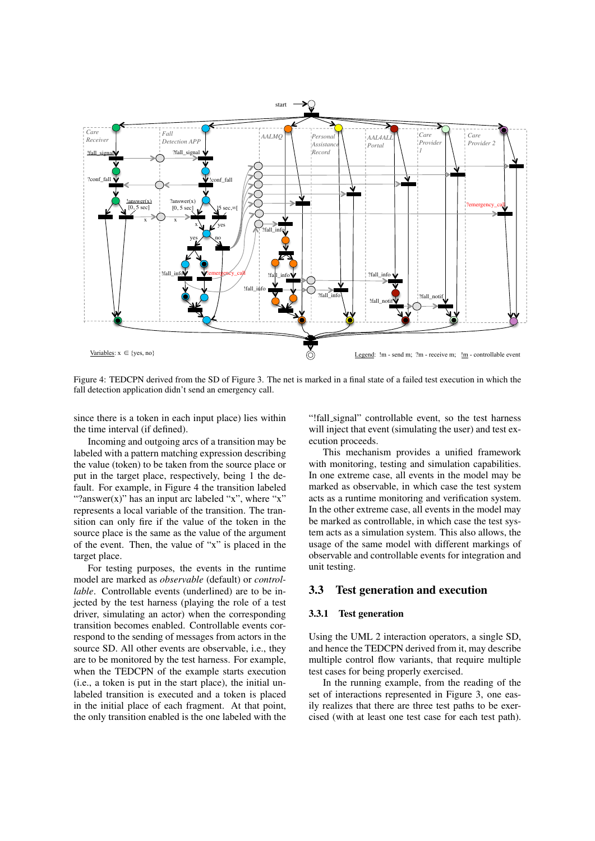

Figure 4: TEDCPN derived from the SD of Figure 3. The net is marked in a final state of a failed test execution in which the fall detection application didn't send an emergency call.

since there is a token in each input place) lies within the time interval (if defined).

Incoming and outgoing arcs of a transition may be labeled with a pattern matching expression describing the value (token) to be taken from the source place or put in the target place, respectively, being 1 the default. For example, in Figure 4 the transition labeled "?answer(x)" has an input arc labeled "x", where "x" represents a local variable of the transition. The transition can only fire if the value of the token in the source place is the same as the value of the argument of the event. Then, the value of "x" is placed in the target place.

For testing purposes, the events in the runtime model are marked as *observable* (default) or *controllable*. Controllable events (underlined) are to be injected by the test harness (playing the role of a test driver, simulating an actor) when the corresponding transition becomes enabled. Controllable events correspond to the sending of messages from actors in the source SD. All other events are observable, i.e., they are to be monitored by the test harness. For example, when the TEDCPN of the example starts execution (i.e., a token is put in the start place), the initial unlabeled transition is executed and a token is placed in the initial place of each fragment. At that point, the only transition enabled is the one labeled with the

"!fall\_signal" controllable event, so the test harness will inject that event (simulating the user) and test execution proceeds.

This mechanism provides a unified framework with monitoring, testing and simulation capabilities. In one extreme case, all events in the model may be marked as observable, in which case the test system acts as a runtime monitoring and verification system. In the other extreme case, all events in the model may be marked as controllable, in which case the test system acts as a simulation system. This also allows, the usage of the same model with different markings of observable and controllable events for integration and unit testing.

### 3.3 Test generation and execution

#### 3.3.1 Test generation

Using the UML 2 interaction operators, a single SD, and hence the TEDCPN derived from it, may describe multiple control flow variants, that require multiple test cases for being properly exercised.

In the running example, from the reading of the set of interactions represented in Figure 3, one easily realizes that there are three test paths to be exercised (with at least one test case for each test path).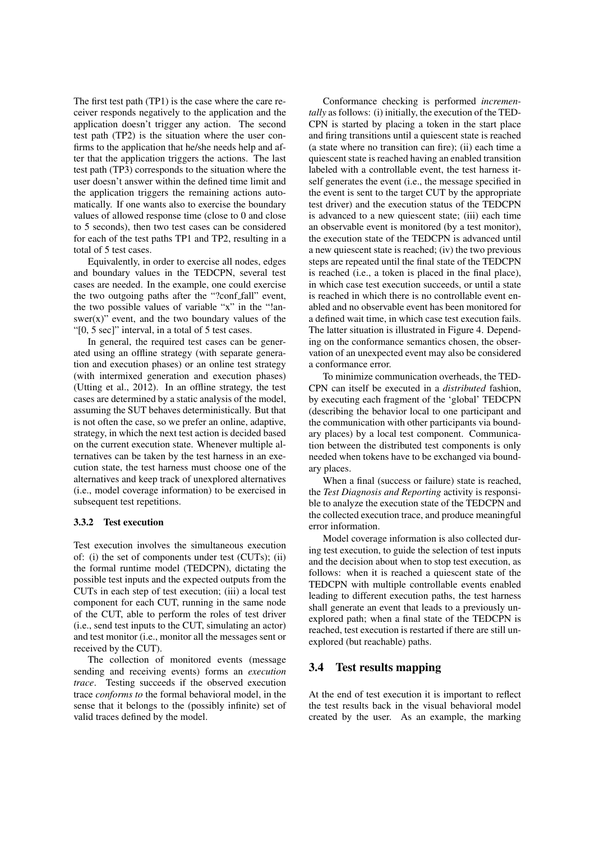The first test path (TP1) is the case where the care receiver responds negatively to the application and the application doesn't trigger any action. The second test path (TP2) is the situation where the user confirms to the application that he/she needs help and after that the application triggers the actions. The last test path (TP3) corresponds to the situation where the user doesn't answer within the defined time limit and the application triggers the remaining actions automatically. If one wants also to exercise the boundary values of allowed response time (close to 0 and close to 5 seconds), then two test cases can be considered for each of the test paths TP1 and TP2, resulting in a total of 5 test cases.

Equivalently, in order to exercise all nodes, edges and boundary values in the TEDCPN, several test cases are needed. In the example, one could exercise the two outgoing paths after the "?conf fall" event, the two possible values of variable "x" in the "!answer(x)" event, and the two boundary values of the "[0, 5 sec]" interval, in a total of 5 test cases.

In general, the required test cases can be generated using an offline strategy (with separate generation and execution phases) or an online test strategy (with intermixed generation and execution phases) (Utting et al., 2012). In an offline strategy, the test cases are determined by a static analysis of the model, assuming the SUT behaves deterministically. But that is not often the case, so we prefer an online, adaptive, strategy, in which the next test action is decided based on the current execution state. Whenever multiple alternatives can be taken by the test harness in an execution state, the test harness must choose one of the alternatives and keep track of unexplored alternatives (i.e., model coverage information) to be exercised in subsequent test repetitions.

#### 3.3.2 Test execution

Test execution involves the simultaneous execution of: (i) the set of components under test (CUTs); (ii) the formal runtime model (TEDCPN), dictating the possible test inputs and the expected outputs from the CUTs in each step of test execution; (iii) a local test component for each CUT, running in the same node of the CUT, able to perform the roles of test driver (i.e., send test inputs to the CUT, simulating an actor) and test monitor (i.e., monitor all the messages sent or received by the CUT).

The collection of monitored events (message sending and receiving events) forms an *execution trace*. Testing succeeds if the observed execution trace *conforms to* the formal behavioral model, in the sense that it belongs to the (possibly infinite) set of valid traces defined by the model.

Conformance checking is performed *incrementally* as follows: (i) initially, the execution of the TED-CPN is started by placing a token in the start place and firing transitions until a quiescent state is reached (a state where no transition can fire); (ii) each time a quiescent state is reached having an enabled transition labeled with a controllable event, the test harness itself generates the event (i.e., the message specified in the event is sent to the target CUT by the appropriate test driver) and the execution status of the TEDCPN is advanced to a new quiescent state; (iii) each time an observable event is monitored (by a test monitor), the execution state of the TEDCPN is advanced until a new quiescent state is reached; (iv) the two previous steps are repeated until the final state of the TEDCPN is reached (i.e., a token is placed in the final place), in which case test execution succeeds, or until a state is reached in which there is no controllable event enabled and no observable event has been monitored for a defined wait time, in which case test execution fails. The latter situation is illustrated in Figure 4. Depending on the conformance semantics chosen, the observation of an unexpected event may also be considered a conformance error.

To minimize communication overheads, the TED-CPN can itself be executed in a *distributed* fashion, by executing each fragment of the 'global' TEDCPN (describing the behavior local to one participant and the communication with other participants via boundary places) by a local test component. Communication between the distributed test components is only needed when tokens have to be exchanged via boundary places.

When a final (success or failure) state is reached, the *Test Diagnosis and Reporting* activity is responsible to analyze the execution state of the TEDCPN and the collected execution trace, and produce meaningful error information.

Model coverage information is also collected during test execution, to guide the selection of test inputs and the decision about when to stop test execution, as follows: when it is reached a quiescent state of the TEDCPN with multiple controllable events enabled leading to different execution paths, the test harness shall generate an event that leads to a previously unexplored path; when a final state of the TEDCPN is reached, test execution is restarted if there are still unexplored (but reachable) paths.

#### 3.4 Test results mapping

At the end of test execution it is important to reflect the test results back in the visual behavioral model created by the user. As an example, the marking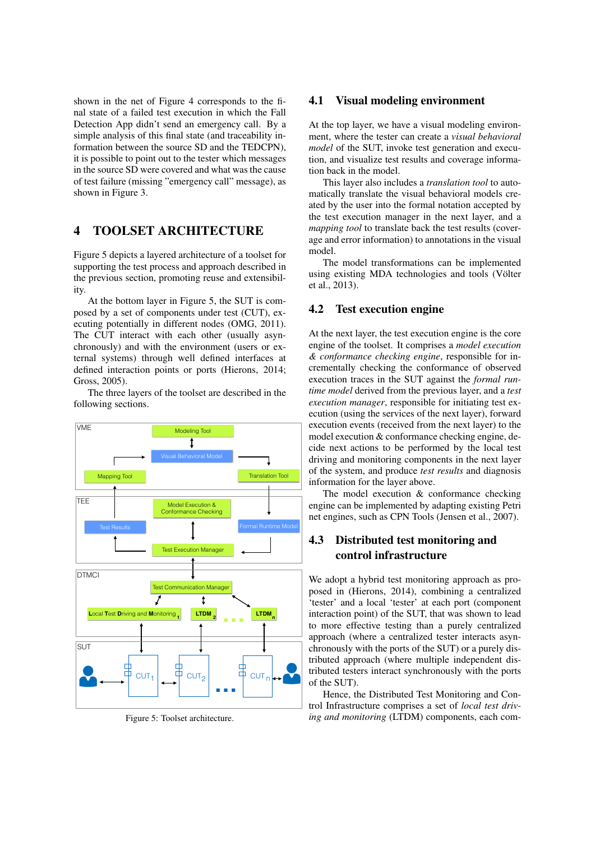shown in the net of Figure 4 corresponds to the final state of a failed test execution in which the Fall Detection App didn't send an emergency call. By a simple analysis of this final state (and traceability information between the source SD and the TEDCPN), it is possible to point out to the tester which messages in the source SD were covered and what was the cause of test failure (missing "emergency call" message), as shown in Figure 3.

# 4 TOOLSET ARCHITECTURE

Figure 5 depicts a layered architecture of a toolset for supporting the test process and approach described in the previous section, promoting reuse and extensibility.

At the bottom layer in Figure 5, the SUT is composed by a set of components under test (CUT), executing potentially in different nodes (OMG, 2011). The CUT interact with each other (usually asynchronously) and with the environment (users or external systems) through well defined interfaces at defined interaction points or ports (Hierons, 2014; Gross, 2005).

The three layers of the toolset are described in the following sections.



Figure 5: Toolset architecture.

### 4.1 Visual modeling environment

At the top layer, we have a visual modeling environment, where the tester can create a *visual behavioral model* of the SUT, invoke test generation and execution, and visualize test results and coverage information back in the model.

This layer also includes a *translation tool* to automatically translate the visual behavioral models created by the user into the formal notation accepted by the test execution manager in the next layer, and a *mapping tool* to translate back the test results (coverage and error information) to annotations in the visual model.

The model transformations can be implemented using existing MDA technologies and tools (Völter et al., 2013).

### 4.2 Test execution engine

At the next layer, the test execution engine is the core engine of the toolset. It comprises a *model execution & conformance checking engine*, responsible for incrementally checking the conformance of observed execution traces in the SUT against the *formal runtime model* derived from the previous layer, and a *test execution manager*, responsible for initiating test execution (using the services of the next layer), forward execution events (received from the next layer) to the model execution & conformance checking engine, decide next actions to be performed by the local test driving and monitoring components in the next layer of the system, and produce *test results* and diagnosis information for the layer above.

The model execution & conformance checking engine can be implemented by adapting existing Petri net engines, such as CPN Tools (Jensen et al., 2007).

# 4.3 Distributed test monitoring and control infrastructure

We adopt a hybrid test monitoring approach as proposed in (Hierons, 2014), combining a centralized 'tester' and a local 'tester' at each port (component interaction point) of the SUT, that was shown to lead to more effective testing than a purely centralized approach (where a centralized tester interacts asynchronously with the ports of the SUT) or a purely distributed approach (where multiple independent distributed testers interact synchronously with the ports of the SUT).

Hence, the Distributed Test Monitoring and Control Infrastructure comprises a set of *local test driving and monitoring* (LTDM) components, each com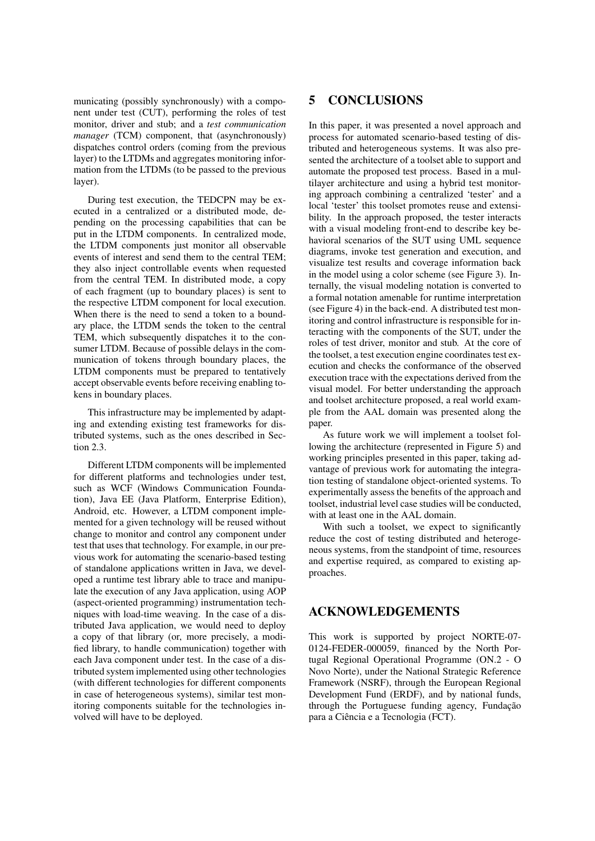municating (possibly synchronously) with a component under test (CUT), performing the roles of test monitor, driver and stub; and a *test communication manager* (TCM) component, that (asynchronously) dispatches control orders (coming from the previous layer) to the LTDMs and aggregates monitoring information from the LTDMs (to be passed to the previous layer).

During test execution, the TEDCPN may be executed in a centralized or a distributed mode, depending on the processing capabilities that can be put in the LTDM components. In centralized mode, the LTDM components just monitor all observable events of interest and send them to the central TEM; they also inject controllable events when requested from the central TEM. In distributed mode, a copy of each fragment (up to boundary places) is sent to the respective LTDM component for local execution. When there is the need to send a token to a boundary place, the LTDM sends the token to the central TEM, which subsequently dispatches it to the consumer LTDM. Because of possible delays in the communication of tokens through boundary places, the LTDM components must be prepared to tentatively accept observable events before receiving enabling tokens in boundary places.

This infrastructure may be implemented by adapting and extending existing test frameworks for distributed systems, such as the ones described in Section 2.3.

Different LTDM components will be implemented for different platforms and technologies under test, such as WCF (Windows Communication Foundation), Java EE (Java Platform, Enterprise Edition), Android, etc. However, a LTDM component implemented for a given technology will be reused without change to monitor and control any component under test that uses that technology. For example, in our previous work for automating the scenario-based testing of standalone applications written in Java, we developed a runtime test library able to trace and manipulate the execution of any Java application, using AOP (aspect-oriented programming) instrumentation techniques with load-time weaving. In the case of a distributed Java application, we would need to deploy a copy of that library (or, more precisely, a modified library, to handle communication) together with each Java component under test. In the case of a distributed system implemented using other technologies (with different technologies for different components in case of heterogeneous systems), similar test monitoring components suitable for the technologies involved will have to be deployed.

# 5 CONCLUSIONS

In this paper, it was presented a novel approach and process for automated scenario-based testing of distributed and heterogeneous systems. It was also presented the architecture of a toolset able to support and automate the proposed test process. Based in a multilayer architecture and using a hybrid test monitoring approach combining a centralized 'tester' and a local 'tester' this toolset promotes reuse and extensibility. In the approach proposed, the tester interacts with a visual modeling front-end to describe key behavioral scenarios of the SUT using UML sequence diagrams, invoke test generation and execution, and visualize test results and coverage information back in the model using a color scheme (see Figure 3). Internally, the visual modeling notation is converted to a formal notation amenable for runtime interpretation (see Figure 4) in the back-end. A distributed test monitoring and control infrastructure is responsible for interacting with the components of the SUT, under the roles of test driver, monitor and stub. At the core of the toolset, a test execution engine coordinates test execution and checks the conformance of the observed execution trace with the expectations derived from the visual model. For better understanding the approach and toolset architecture proposed, a real world example from the AAL domain was presented along the paper.

As future work we will implement a toolset following the architecture (represented in Figure 5) and working principles presented in this paper, taking advantage of previous work for automating the integration testing of standalone object-oriented systems. To experimentally assess the benefits of the approach and toolset, industrial level case studies will be conducted, with at least one in the AAL domain.

With such a toolset, we expect to significantly reduce the cost of testing distributed and heterogeneous systems, from the standpoint of time, resources and expertise required, as compared to existing approaches.

## ACKNOWLEDGEMENTS

This work is supported by project NORTE-07- 0124-FEDER-000059, financed by the North Portugal Regional Operational Programme (ON.2 - O Novo Norte), under the National Strategic Reference Framework (NSRF), through the European Regional Development Fund (ERDF), and by national funds, through the Portuguese funding agency, Fundação para a Ciencia e a Tecnologia (FCT). ˆ